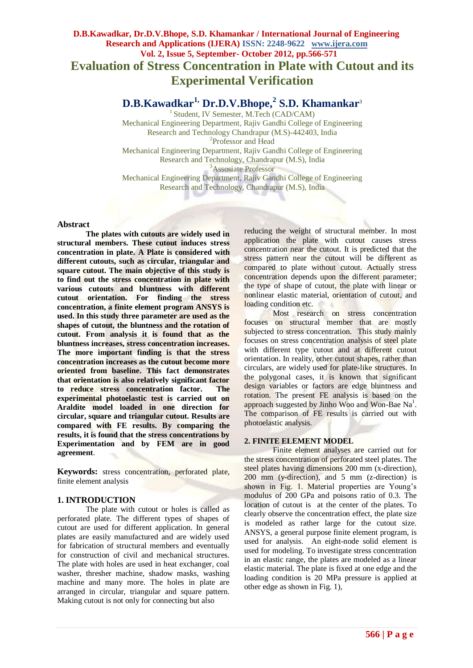# **D.B.Kawadkar, Dr.D.V.Bhope, S.D. Khamankar / International Journal of Engineering Research and Applications (IJERA) ISSN: 2248-9622 www.ijera.com Vol. 2, Issue 5, September- October 2012, pp.566-571 Evaluation of Stress Concentration in Plate with Cutout and its Experimental Verification**

**D.B.Kawadkar1, Dr.D.V.Bhope,<sup>2</sup> S.D. Khamankar**<sup>3</sup>

1 Student, IV Semester, M.Tech (CAD/CAM) Mechanical Engineering Department, Rajiv Gandhi College of Engineering Research and Technology Chandrapur (M.S)-442403, India <sup>2</sup>Professor and Head Mechanical Engineering Department, Rajiv Gandhi College of Engineering Research and Technology, Chandrapur (M.S), India <sup>3</sup>Assosiate Professor Mechanical Engineering Department, Rajiv Gandhi College of Engineering Research and Technology, Chandrapur (M.S), India

# **Abstract**

**The plates with cutouts are widely used in structural members. These cutout induces stress concentration in plate. A Plate is considered with different cutouts, such as circular, triangular and square cutout. The main objective of this study is to find out the stress concentration in plate with various cutouts and bluntness with different cutout orientation. For finding the stress concentration, a finite element program ANSYS is used. In this study three parameter are used as the shapes of cutout, the bluntness and the rotation of cutout. From analysis it is found that as the bluntness increases, stress concentration increases. The more important finding is that the stress concentration increases as the cutout become more oriented from baseline. This fact demonstrates that orientation is also relatively significant factor to reduce stress concentration factor. The experimental photoelastic test is carried out on Araldite model loaded in one direction for circular, square and triangular cutout. Results are compared with FE results. By comparing the results, it is found that the stress concentrations by Experimentation and by FEM are in good agreement**.

**Keywords:** stress concentration, perforated plate, finite element analysis

# **1. INTRODUCTION**

The plate with cutout or holes is called as perforated plate. The different types of shapes of cutout are used for different application. In general plates are easily manufactured and are widely used for fabrication of structural members and eventually for construction of civil and mechanical structures. The plate with holes are used in heat exchanger, coal washer, thresher machine, shadow masks, washing machine and many more. The holes in plate are arranged in circular, triangular and square pattern. Making cutout is not only for connecting but also

reducing the weight of structural member. In most application the plate with cutout causes stress concentration near the cutout. It is predicted that the stress pattern near the cutout will be different as compared to plate without cutout. Actually stress concentration depends upon the different parameter; the type of shape of cutout, the plate with linear or nonlinear elastic material, orientation of cutout, and loading condition etc.

Most research on stress concentration focuses on structural member that are mostly subjected to stress concentration. This study mainly focuses on stress concentration analysis of steel plate with different type cutout and at different cutout orientation. In reality, other cutout shapes, rather than circulars, are widely used for plate-like structures. In the polygonal cases, it is known that significant design variables or factors are edge bluntness and rotation. The present FE analysis is based on the approach suggested by Jinho Woo and Won-Bae  $Na<sup>1</sup>$ . The comparison of FE results is carried out with photoelastic analysis.

# **2. FINITE ELEMENT MODEL**

Finite element analyses are carried out for the stress concentration of perforated steel plates. The steel plates having dimensions 200 mm (x-direction), 200 mm (y-direction), and 5 mm (z-direction) is shown in Fig. 1. Material properties are Young's modulus of 200 GPa and poisons ratio of 0.3. The location of cutout is at the center of the plates. To clearly observe the concentration effect, the plate size is modeled as rather large for the cutout size. ANSYS, a general purpose finite element program, is used for analysis. An eight-node solid element is used for modeling. To investigate stress concentration in an elastic range, the plates are modeled as a linear elastic material. The plate is fixed at one edge and the loading condition is 20 MPa pressure is applied at other edge as shown in Fig. 1),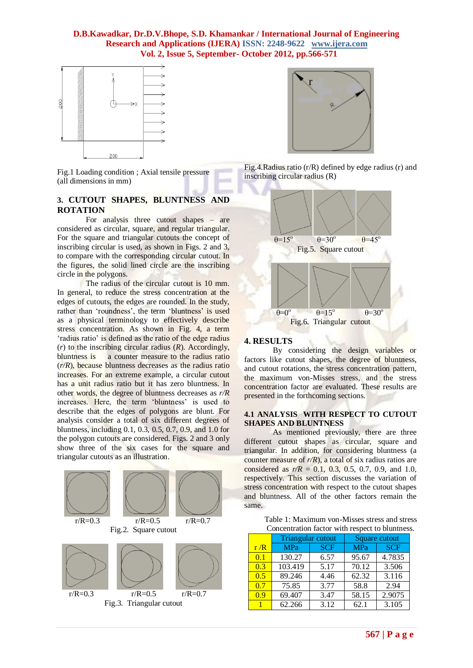

Fig.1 Loading condition ; Axial tensile pressure (all dimensions in mm)

# **3. CUTOUT SHAPES, BLUNTNESS AND ROTATION**

For analysis three cutout shapes – are considered as circular, square, and regular triangular. For the square and triangular cutouts the concept of inscribing circular is used, as shown in Figs. 2 and 3, to compare with the corresponding circular cutout. In the figures, the solid lined circle are the inscribing circle in the polygons.

The radius of the circular cutout is 10 mm. In general, to reduce the stress concentration at the edges of cutouts, the edges are rounded. In the study, rather than 'roundness', the term 'bluntness' is used as a physical terminology to effectively describe stress concentration. As shown in Fig. 4, a term 'radius ratio' is defined as the ratio of the edge radius (*r*) to the inscribing circular radius (*R*). Accordingly, bluntness is a counter measure to the radius ratio (*r/R*), because bluntness decreases as the radius ratio increases. For an extreme example, a circular cutout has a unit radius ratio but it has zero bluntness. In other words, the degree of bluntness decreases as *r/R*  increases. Here, the term 'bluntness' is used to describe that the edges of polygons are blunt. For analysis consider a total of six different degrees of bluntness, including 0.1, 0.3, 0.5, 0.7, 0.9, and 1.0 for the polygon cutouts are considered. Figs. 2 and 3 only show three of the six cases for the square and triangular cutouts as an illustration.





Fig.4.Radius ratio (r/R) defined by edge radius (r) and inscribing circular radius (R)



#### **4. RESULTS**

By considering the design variables or factors like cutout shapes, the degree of bluntness, and cutout rotations, the stress concentration pattern, the maximum von-Misses stress, and the stress concentration factor are evaluated. These results are presented in the forthcoming sections.

#### **4.1 ANALYSIS WITH RESPECT TO CUTOUT SHAPES AND BLUNTNESS**

As mentioned previously, there are three different cutout shapes as circular, square and triangular. In addition, for considering bluntness (a counter measure of *r/R*), a total of six radius ratios are considered as  $r/R = 0.1$ , 0.3, 0.5, 0.7, 0.9, and 1.0, respectively. This section discusses the variation of stress concentration with respect to the cutout shapes and bluntness. All of the other factors remain the same.

> Table 1: Maximum von-Misses stress and stress Concentration factor with respect to bluntness.

|     | Triangular cutout |            | Square cutout |            |
|-----|-------------------|------------|---------------|------------|
| r/R | MPa               | <b>SCF</b> | <b>MPa</b>    | <b>SCF</b> |
| 0.1 | 130.27            | 6.57       | 95.67         | 4.7835     |
| 0.3 | 103.419           | 5.17       | 70.12         | 3.506      |
| 0.5 | 89.246            | 4.46       | 62.32         | 3.116      |
| 0.7 | 75.85             | 3.77       | 58.8          | 2.94       |
| 0.9 | 69.407            | 3.47       | 58.15         | 2.9075     |
|     | 62.266            | 3.12       | 62.1          | 3.105      |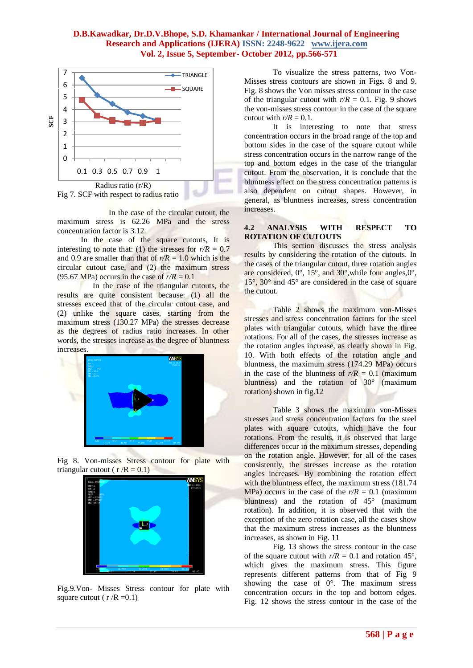

 In the case of the circular cutout, the maximum stress is 62.26 MPa and the stress concentration factor is 3.12.

In the case of the square cutouts, It is interesting to note that: (1) the stresses for  $r/R = 0.7$ and 0.9 are smaller than that of  $r/R = 1.0$  which is the circular cutout case, and (2) the maximum stress (95.67 MPa) occurs in the case of  $r/R = 0.1$ 

 In the case of the triangular cutouts, the results are quite consistent because: (1) all the stresses exceed that of the circular cutout case, and (2) unlike the square cases, starting from the maximum stress (130.27 MPa) the stresses decrease as the degrees of radius ratio increases. In other words, the stresses increase as the degree of bluntness increases.



Fig 8. Von-misses Stress contour for plate with triangular cutout ( $r/R = 0.1$ )



Fig.9.Von- Misses Stress contour for plate with square cutout ( $r/R = 0.1$ )

To visualize the stress patterns, two Von-Misses stress contours are shown in Figs. 8 and 9. Fig. 8 shows the Von misses stress contour in the case of the triangular cutout with  $r/R = 0.1$ . Fig. 9 shows the von-misses stress contour in the case of the square cutout with  $r/R = 0.1$ .

It is interesting to note that stress concentration occurs in the broad range of the top and bottom sides in the case of the square cutout while stress concentration occurs in the narrow range of the top and bottom edges in the case of the triangular cutout. From the observation, it is conclude that the bluntness effect on the stress concentration patterns is also dependent on cutout shapes. However, in general, as bluntness increases, stress concentration increases.

### **4.2 ANALYSIS WITH RESPECT TO ROTATION OF CUTOUTS**

This section discusses the stress analysis results by considering the rotation of the cutouts. In the cases of the triangular cutout, three rotation angles are considered, 0°, 15°, and 30°,while four angles,0°, 15°, 30° and 45° are considered in the case of square the cutout.

Table 2 shows the maximum von-Misses stresses and stress concentration factors for the steel plates with triangular cutouts, which have the three rotations. For all of the cases, the stresses increase as the rotation angles increase, as clearly shown in Fig. 10. With both effects of the rotation angle and bluntness, the maximum stress (174.29 MPa) occurs in the case of the bluntness of  $r/R = 0.1$  (maximum) bluntness) and the rotation of 30° (maximum rotation) shown in fig.12

Table 3 shows the maximum von-Misses stresses and stress concentration factors for the steel plates with square cutouts, which have the four rotations. From the results, it is observed that large differences occur in the maximum stresses, depending on the rotation angle. However, for all of the cases consistently, the stresses increase as the rotation angles increases. By combining the rotation effect with the bluntness effect, the maximum stress (181.74) MPa) occurs in the case of the  $r/R = 0.1$  (maximum) bluntness) and the rotation of 45° (maximum rotation). In addition, it is observed that with the exception of the zero rotation case, all the cases show that the maximum stress increases as the bluntness increases, as shown in Fig. 11

Fig. 13 shows the stress contour in the case of the square cutout with  $r/R = 0.1$  and rotation 45°, which gives the maximum stress. This figure represents different patterns from that of Fig 9 showing the case of 0°. The maximum stress concentration occurs in the top and bottom edges. Fig. 12 shows the stress contour in the case of the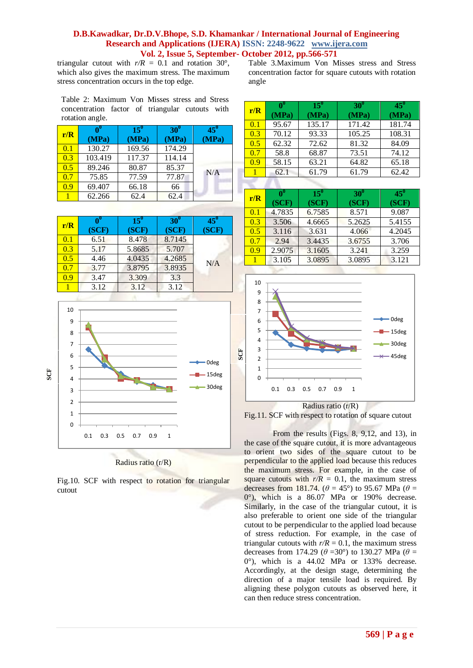# **569 | P a g e**

# **D.B.Kawadkar, Dr.D.V.Bhope, S.D. Khamankar / International Journal of Engineering Research and Applications (IJERA) ISSN: 2248-9622 www.ijera.com Vol. 2, Issue 5, September- October 2012, pp.566-571**

**SCF**

triangular cutout with  $r/R = 0.1$  and rotation 30°, which also gives the maximum stress. The maximum stress concentration occurs in the top edge.

Table 2: Maximum Von Misses stress and Stress concentration factor of triangular cutouts with

| rotation angle. |             |                 |                     |                       |
|-----------------|-------------|-----------------|---------------------|-----------------------|
| r/R             | Ω0<br>(MPa) | $15^0$<br>(MPa) | $30^\circ$<br>(MPa) | $45^{\circ}$<br>(MPa) |
| 0.1             | 130.27      | 169.56          | 174.29              |                       |
| 0.3             | 103.419     | 117.37          | 114.14              |                       |
| 0.5             | 89.246      | 80.87           | 85.37               | N/A                   |
| 0.7             | 75.85       | 77.59           | 77.87               |                       |
| 0.9             | 69.407      | 66.18           | 66                  |                       |
|                 | 62.266      | 62.4            | 62.4                |                       |

| r/R | (SCF) | $15^{\circ}$<br>(SCF) | $30^{\circ}$<br>(SCF) | $45^{\circ}$<br>(SCF) |
|-----|-------|-----------------------|-----------------------|-----------------------|
| 0.1 | 6.51  | 8.478                 | 8.7145                |                       |
| 0.3 | 5.17  | 5.8685                | 5.707                 |                       |
| 0.5 | 4.46  | 4.0435                | 4.2685                | N/A                   |
| 0.7 | 3.77  | 3.8795                | 3.8935                |                       |
| 0.9 | 3.47  | 3.309                 | 3.3                   |                       |
|     | 3.12  | 3.12                  | 3.12                  |                       |
|     |       |                       |                       |                       |



#### Radius ratio (r/R)

Fig.10. SCF with respect to rotation for triangular cutout

Table 3.Maximum Von Misses stress and Stress concentration factor for square cutouts with rotation angle

| r/R | $\mathbf{v}_0$<br>(MPa) | $15^{0}$<br>(MPa) | $30^0$<br>(MPa) | $45^0$<br>(MPa) |
|-----|-------------------------|-------------------|-----------------|-----------------|
| 0.1 | 95.67                   | 135.17            | 171.42          | 181.74          |
| 0.3 | 70.12                   | 93.33             | 105.25          | 108.31          |
| 0.5 | 62.32                   | 72.62             | 81.32           | 84.09           |
| 0.7 | 58.8                    | 68.87             | 73.51           | 74.12           |
| 0.9 | 58.15                   | 63.21             | 64.82           | 65.18           |
|     | 62.1                    | 61.79             | 61.79           | 62.42           |

| r/R | $\mathbf{P}$ | $15^0$ | $30^0$ | $45^\circ$ |
|-----|--------------|--------|--------|------------|
|     | (SCF)        | (SCF)  | (SCF)  | (SCF)      |
| 0.1 | 4.7835       | 6.7585 | 8.571  | 9.087      |
| 0.3 | 3.506        | 4.6665 | 5.2625 | 5.4155     |
| 0.5 | 3.116        | 3.631  | 4.066  | 4.2045     |
| 0.7 | 2.94         | 3.4435 | 3.6755 | 3.706      |
| 0.9 | 2.9075       | 3.1605 | 3.241  | 3.259      |
|     | 3.105        | 3.0895 | 3.0895 | 3.121      |



Radius ratio (r/R)



From the results (Figs. 8, 9,12, and 13), in the case of the square cutout, it is more advantageous to orient two sides of the square cutout to be perpendicular to the applied load because this reduces the maximum stress. For example, in the case of square cutouts with  $r/R = 0.1$ , the maximum stress decreases from 181.74. ( $\theta$  = 45°) to 95.67 MPa ( $\theta$  = 0°), which is a 86.07 MPa or 190% decrease. Similarly, in the case of the triangular cutout, it is also preferable to orient one side of the triangular cutout to be perpendicular to the applied load because of stress reduction. For example, in the case of triangular cutouts with  $r/R = 0.1$ , the maximum stress decreases from 174.29 ( $\theta$  =30°) to 130.27 MPa ( $\theta$  = 0°), which is a 44.02 MPa or 133% decrease. Accordingly, at the design stage, determining the direction of a major tensile load is required. By aligning these polygon cutouts as observed here, it can then reduce stress concentration.

**SCF**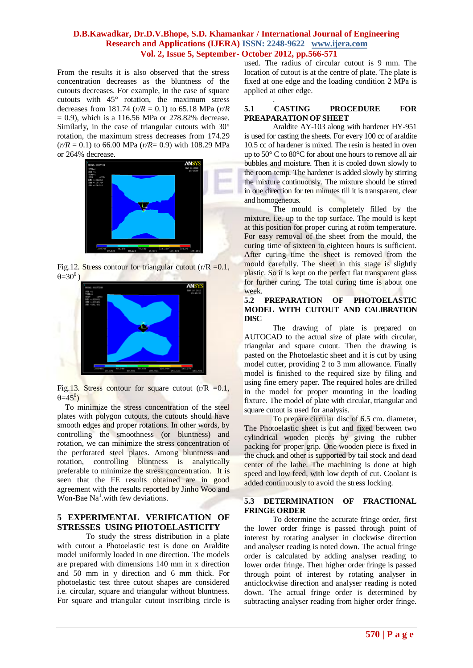.

From the results it is also observed that the stress concentration decreases as the bluntness of the cutouts decreases. For example, in the case of square cutouts with 45° rotation, the maximum stress decreases from 181.74 ( $r/R = 0.1$ ) to 65.18 MPa ( $r/R$ )  $= 0.9$ ), which is a 116.56 MPa or 278.82% decrease. Similarly, in the case of triangular cutouts with 30° rotation, the maximum stress decreases from 174.29  $(r/R = 0.1)$  to 66.00 MPa  $(r/R = 0.9)$  with 108.29 MPa or 264% decrease.



Fig.12. Stress contour for triangular cutout  $(r/R = 0.1$ ,  $\theta = 30^\circ$ )



Fig.13. Stress contour for square cutout  $(r/R = 0.1,$  $\theta = 45^\circ$ 

 To minimize the stress concentration of the steel plates with polygon cutouts, the cutouts should have smooth edges and proper rotations. In other words, by controlling the smoothness (or bluntness) and rotation, we can minimize the stress concentration of the perforated steel plates. Among bluntness and rotation, controlling bluntness is analytically preferable to minimize the stress concentration. It is seen that the FE results obtained are in good agreement with the results reported by Jinho Woo and  $W$ on-Bae Na<sup>1</sup>.with few deviations.

# **5 EXPERIMENTAL VERIFICATION OF STRESSES USING PHOTOELASTICITY**

To study the stress distribution in a plate with cutout a Photoelastic test is done on Araldite model uniformly loaded in one direction. The models are prepared with dimensions 140 mm in x direction and 50 mm in y direction and 6 mm thick. For photoelastic test three cutout shapes are considered i.e. circular, square and triangular without bluntness. For square and triangular cutout inscribing circle is

used. The radius of circular cutout is 9 mm. The location of cutout is at the centre of plate. The plate is fixed at one edge and the loading condition 2 MPa is applied at other edge.

#### **5.1 CASTING PROCEDURE FOR PREAPARATION OF SHEET**

Araldite AY-103 along with hardener HY-951 is used for casting the sheets. For every 100 cc of araldite 10.5 cc of hardener is mixed. The resin is heated in oven up to 50° C to 80°C for about one hours to remove all air bubbles and moisture. Then it is cooled down slowly to the room temp. The hardener is added slowly by stirring the mixture continuously. The mixture should be stirred in one direction for ten minutes till it is transparent, clear and homogeneous.

The mould is completely filled by the mixture, i.e. up to the top surface. The mould is kept at this position for proper curing at room temperature. For easy removal of the sheet from the mould, the curing time of sixteen to eighteen hours is sufficient. After curing time the sheet is removed from the mould carefully. The sheet in this stage is slightly plastic. So it is kept on the perfect flat transparent glass for further curing. The total curing time is about one week.

### **5.2 PREPARATION OF PHOTOELASTIC MODEL WITH CUTOUT AND CALIBRATION DISC**

The drawing of plate is prepared on AUTOCAD to the actual size of plate with circular, triangular and square cutout. Then the drawing is pasted on the Photoelastic sheet and it is cut by using model cutter, providing 2 to 3 mm allowance. Finally model is finished to the required size by filing and using fine emery paper. The required holes are drilled in the model for proper mounting in the loading fixture. The model of plate with circular, triangular and square cutout is used for analysis.

To prepare circular disc of 6.5 cm. diameter, The Photoelastic sheet is cut and fixed between two cylindrical wooden pieces by giving the rubber packing for proper grip. One wooden piece is fixed in the chuck and other is supported by tail stock and dead center of the lathe. The machining is done at high speed and low feed, with low depth of cut. Coolant is added continuously to avoid the stress locking.

#### **5.3 DETERMINATION OF FRACTIONAL FRINGE ORDER**

To determine the accurate fringe order, first the lower order fringe is passed through point of interest by rotating analyser in clockwise direction and analyser reading is noted down. The actual fringe order is calculated by adding analyser reading to lower order fringe. Then higher order fringe is passed through point of interest by rotating analyser in anticlockwise direction and analyser reading is noted down. The actual fringe order is determined by subtracting analyser reading from higher order fringe.